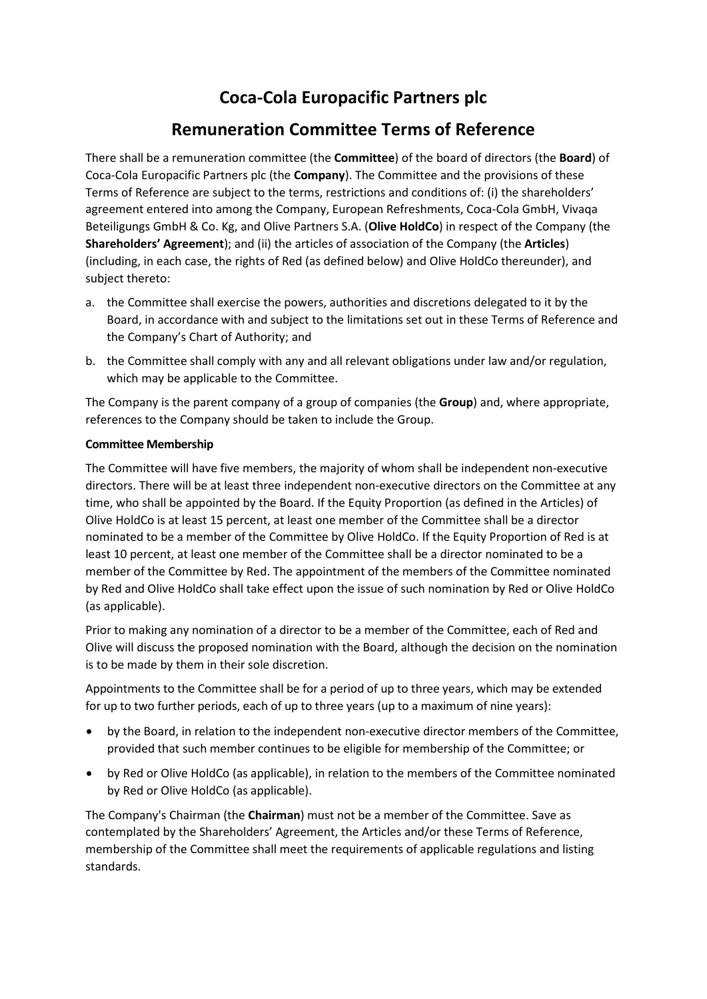# **Coca-Cola Europacific Partners plc**

# **Remuneration Committee Terms of Reference**

There shall be a remuneration committee (the **Committee**) of the board of directors (the **Board**) of Coca-Cola Europacific Partners plc (the **Company**). The Committee and the provisions of these Terms of Reference are subject to the terms, restrictions and conditions of: (i) the shareholders' agreement entered into among the Company, European Refreshments, Coca-Cola GmbH, Vivaqa Beteiligungs GmbH & Co. Kg, and Olive Partners S.A. (**Olive HoldCo**) in respect of the Company (the **Shareholders' Agreement**); and (ii) the articles of association of the Company (the **Articles**) (including, in each case, the rights of Red (as defined below) and Olive HoldCo thereunder), and subject thereto:

- a. the Committee shall exercise the powers, authorities and discretions delegated to it by the Board, in accordance with and subject to the limitations set out in these Terms of Reference and the Company's Chart of Authority; and
- b. the Committee shall comply with any and all relevant obligations under law and/or regulation, which may be applicable to the Committee.

The Company is the parent company of a group of companies (the **Group**) and, where appropriate, references to the Company should be taken to include the Group.

## **Committee Membership**

The Committee will have five members, the majority of whom shall be independent non-executive directors. There will be at least three independent non-executive directors on the Committee at any time, who shall be appointed by the Board. If the Equity Proportion (as defined in the Articles) of Olive HoldCo is at least 15 percent, at least one member of the Committee shall be a director nominated to be a member of the Committee by Olive HoldCo. If the Equity Proportion of Red is at least 10 percent, at least one member of the Committee shall be a director nominated to be a member of the Committee by Red. The appointment of the members of the Committee nominated by Red and Olive HoldCo shall take effect upon the issue of such nomination by Red or Olive HoldCo (as applicable).

Prior to making any nomination of a director to be a member of the Committee, each of Red and Olive will discuss the proposed nomination with the Board, although the decision on the nomination is to be made by them in their sole discretion.

Appointments to the Committee shall be for a period of up to three years, which may be extended for up to two further periods, each of up to three years (up to a maximum of nine years):

- by the Board, in relation to the independent non-executive director members of the Committee, provided that such member continues to be eligible for membership of the Committee; or
- by Red or Olive HoldCo (as applicable), in relation to the members of the Committee nominated by Red or Olive HoldCo (as applicable).

The Company's Chairman (the **Chairman**) must not be a member of the Committee. Save as contemplated by the Shareholders' Agreement, the Articles and/or these Terms of Reference, membership of the Committee shall meet the requirements of applicable regulations and listing standards.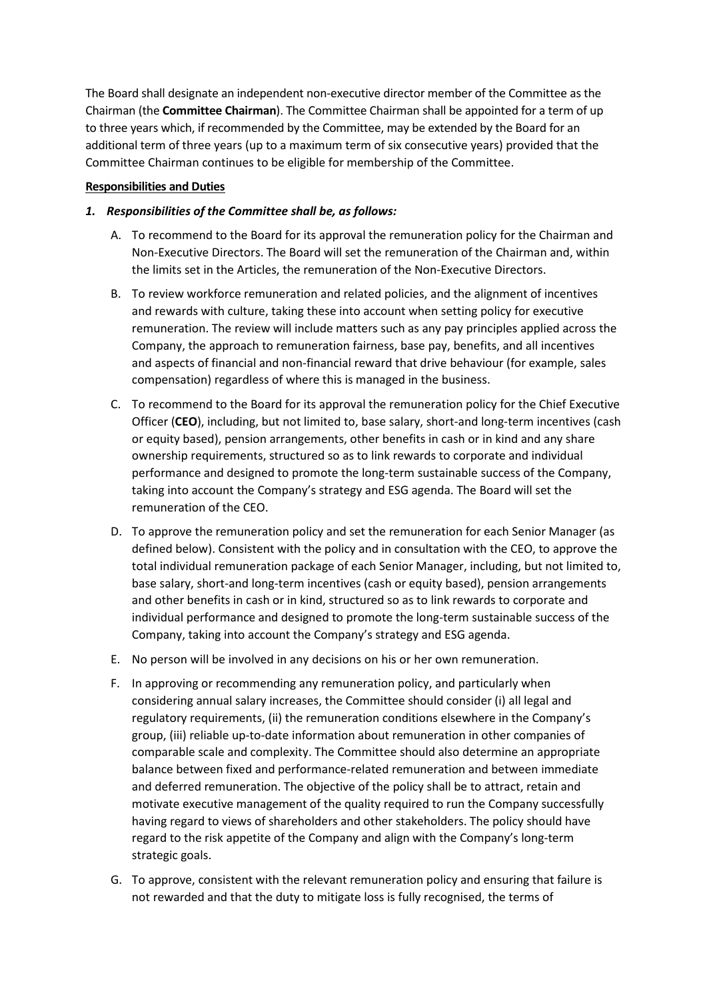The Board shall designate an independent non-executive director member of the Committee as the Chairman (the **Committee Chairman**). The Committee Chairman shall be appointed for a term of up to three years which, if recommended by the Committee, may be extended by the Board for an additional term of three years (up to a maximum term of six consecutive years) provided that the Committee Chairman continues to be eligible for membership of the Committee.

#### **Responsibilities and Duties**

### *1. Responsibilities of the Committee shall be, as follows:*

- A. To recommend to the Board for its approval the remuneration policy for the Chairman and Non-Executive Directors. The Board will set the remuneration of the Chairman and, within the limits set in the Articles, the remuneration of the Non-Executive Directors.
- B. To review workforce remuneration and related policies, and the alignment of incentives and rewards with culture, taking these into account when setting policy for executive remuneration. The review will include matters such as any pay principles applied across the Company, the approach to remuneration fairness, base pay, benefits, and all incentives and aspects of financial and non-financial reward that drive behaviour (for example, sales compensation) regardless of where this is managed in the business.
- C. To recommend to the Board for its approval the remuneration policy for the Chief Executive Officer (**CEO**), including, but not limited to, base salary, short-and long-term incentives (cash or equity based), pension arrangements, other benefits in cash or in kind and any share ownership requirements, structured so as to link rewards to corporate and individual performance and designed to promote the long-term sustainable success of the Company, taking into account the Company's strategy and ESG agenda. The Board will set the remuneration of the CEO.
- D. To approve the remuneration policy and set the remuneration for each Senior Manager (as defined below). Consistent with the policy and in consultation with the CEO, to approve the total individual remuneration package of each Senior Manager, including, but not limited to, base salary, short-and long-term incentives (cash or equity based), pension arrangements and other benefits in cash or in kind, structured so as to link rewards to corporate and individual performance and designed to promote the long-term sustainable success of the Company, taking into account the Company's strategy and ESG agenda.
- E. No person will be involved in any decisions on his or her own remuneration.
- F. In approving or recommending any remuneration policy, and particularly when considering annual salary increases, the Committee should consider (i) all legal and regulatory requirements, (ii) the remuneration conditions elsewhere in the Company's group, (iii) reliable up-to-date information about remuneration in other companies of comparable scale and complexity. The Committee should also determine an appropriate balance between fixed and performance-related remuneration and between immediate and deferred remuneration. The objective of the policy shall be to attract, retain and motivate executive management of the quality required to run the Company successfully having regard to views of shareholders and other stakeholders. The policy should have regard to the risk appetite of the Company and align with the Company's long-term strategic goals.
- G. To approve, consistent with the relevant remuneration policy and ensuring that failure is not rewarded and that the duty to mitigate loss is fully recognised, the terms of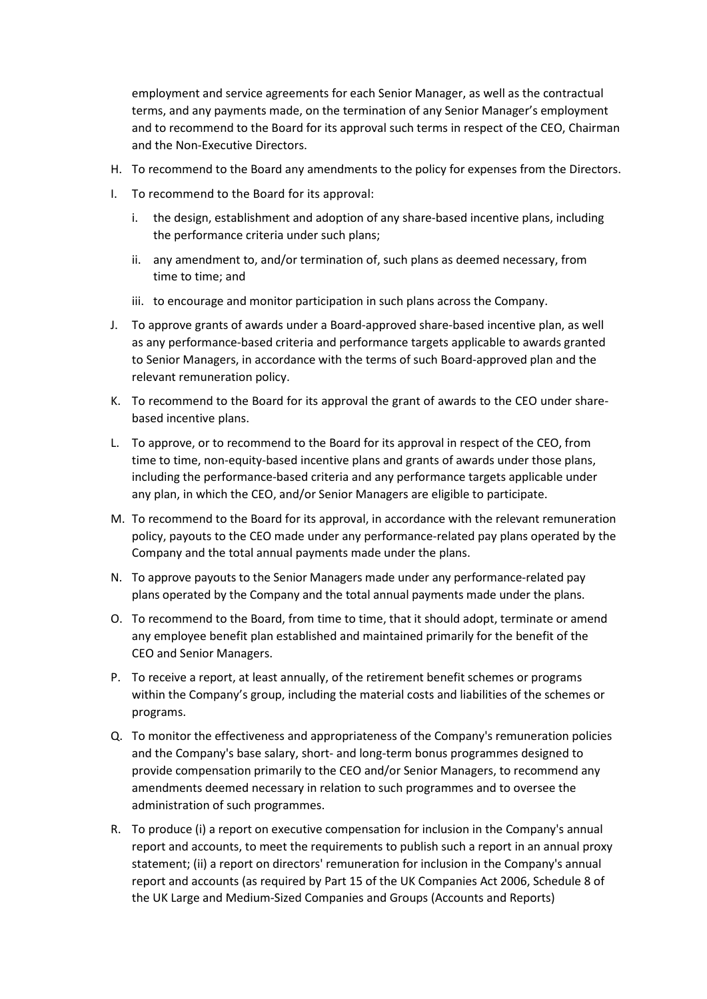employment and service agreements for each Senior Manager, as well as the contractual terms, and any payments made, on the termination of any Senior Manager's employment and to recommend to the Board for its approval such terms in respect of the CEO, Chairman and the Non-Executive Directors.

- H. To recommend to the Board any amendments to the policy for expenses from the Directors.
- I. To recommend to the Board for its approval:
	- i. the design, establishment and adoption of any share-based incentive plans, including the performance criteria under such plans;
	- ii. any amendment to, and/or termination of, such plans as deemed necessary, from time to time; and
	- iii. to encourage and monitor participation in such plans across the Company.
- J. To approve grants of awards under a Board-approved share-based incentive plan, as well as any performance-based criteria and performance targets applicable to awards granted to Senior Managers, in accordance with the terms of such Board-approved plan and the relevant remuneration policy.
- K. To recommend to the Board for its approval the grant of awards to the CEO under sharebased incentive plans.
- L. To approve, or to recommend to the Board for its approval in respect of the CEO, from time to time, non-equity-based incentive plans and grants of awards under those plans, including the performance-based criteria and any performance targets applicable under any plan, in which the CEO, and/or Senior Managers are eligible to participate.
- M. To recommend to the Board for its approval, in accordance with the relevant remuneration policy, payouts to the CEO made under any performance-related pay plans operated by the Company and the total annual payments made under the plans.
- N. To approve payouts to the Senior Managers made under any performance-related pay plans operated by the Company and the total annual payments made under the plans.
- O. To recommend to the Board, from time to time, that it should adopt, terminate or amend any employee benefit plan established and maintained primarily for the benefit of the CEO and Senior Managers.
- P. To receive a report, at least annually, of the retirement benefit schemes or programs within the Company's group, including the material costs and liabilities of the schemes or programs.
- Q. To monitor the effectiveness and appropriateness of the Company's remuneration policies and the Company's base salary, short- and long-term bonus programmes designed to provide compensation primarily to the CEO and/or Senior Managers, to recommend any amendments deemed necessary in relation to such programmes and to oversee the administration of such programmes.
- R. To produce (i) a report on executive compensation for inclusion in the Company's annual report and accounts, to meet the requirements to publish such a report in an annual proxy statement; (ii) a report on directors' remuneration for inclusion in the Company's annual report and accounts (as required by Part 15 of the UK Companies Act 2006, Schedule 8 of the UK Large and Medium-Sized Companies and Groups (Accounts and Reports)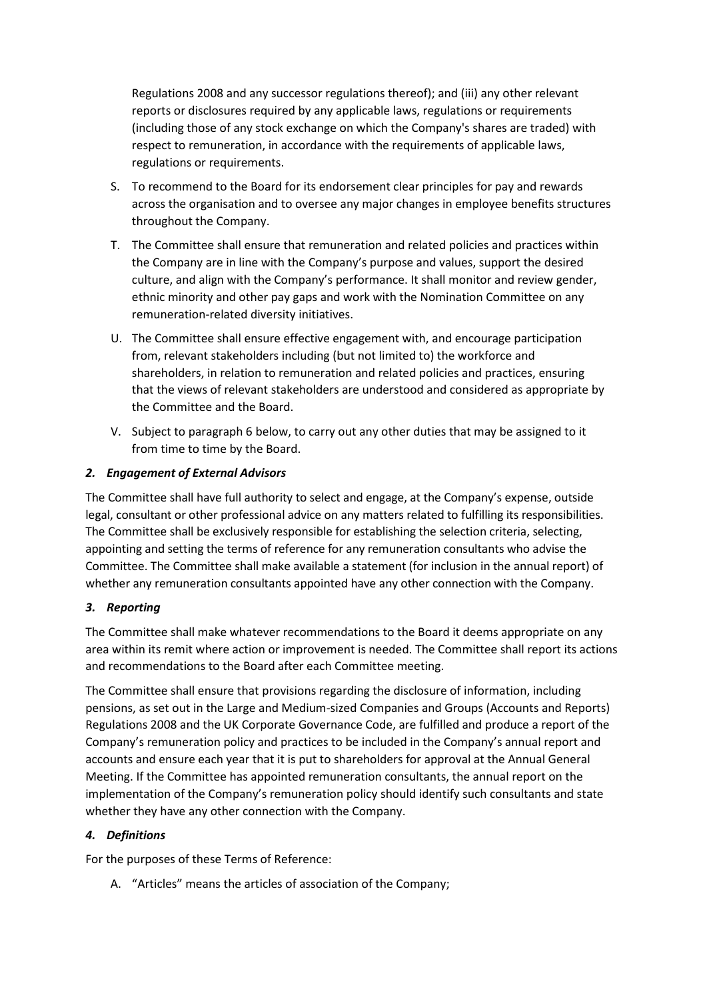Regulations 2008 and any successor regulations thereof); and (iii) any other relevant reports or disclosures required by any applicable laws, regulations or requirements (including those of any stock exchange on which the Company's shares are traded) with respect to remuneration, in accordance with the requirements of applicable laws, regulations or requirements.

- S. To recommend to the Board for its endorsement clear principles for pay and rewards across the organisation and to oversee any major changes in employee benefits structures throughout the Company.
- T. The Committee shall ensure that remuneration and related policies and practices within the Company are in line with the Company's purpose and values, support the desired culture, and align with the Company's performance. It shall monitor and review gender, ethnic minority and other pay gaps and work with the Nomination Committee on any remuneration-related diversity initiatives.
- U. The Committee shall ensure effective engagement with, and encourage participation from, relevant stakeholders including (but not limited to) the workforce and shareholders, in relation to remuneration and related policies and practices, ensuring that the views of relevant stakeholders are understood and considered as appropriate by the Committee and the Board.
- V. Subject to paragraph 6 below, to carry out any other duties that may be assigned to it from time to time by the Board.

## *2. Engagement of External Advisors*

The Committee shall have full authority to select and engage, at the Company's expense, outside legal, consultant or other professional advice on any matters related to fulfilling its responsibilities. The Committee shall be exclusively responsible for establishing the selection criteria, selecting, appointing and setting the terms of reference for any remuneration consultants who advise the Committee. The Committee shall make available a statement (for inclusion in the annual report) of whether any remuneration consultants appointed have any other connection with the Company.

#### *3. Reporting*

The Committee shall make whatever recommendations to the Board it deems appropriate on any area within its remit where action or improvement is needed. The Committee shall report its actions and recommendations to the Board after each Committee meeting.

The Committee shall ensure that provisions regarding the disclosure of information, including pensions, as set out in the Large and Medium-sized Companies and Groups (Accounts and Reports) Regulations 2008 and the UK Corporate Governance Code, are fulfilled and produce a report of the Company's remuneration policy and practices to be included in the Company's annual report and accounts and ensure each year that it is put to shareholders for approval at the Annual General Meeting. If the Committee has appointed remuneration consultants, the annual report on the implementation of the Company's remuneration policy should identify such consultants and state whether they have any other connection with the Company.

#### *4. Definitions*

For the purposes of these Terms of Reference:

A. "Articles" means the articles of association of the Company;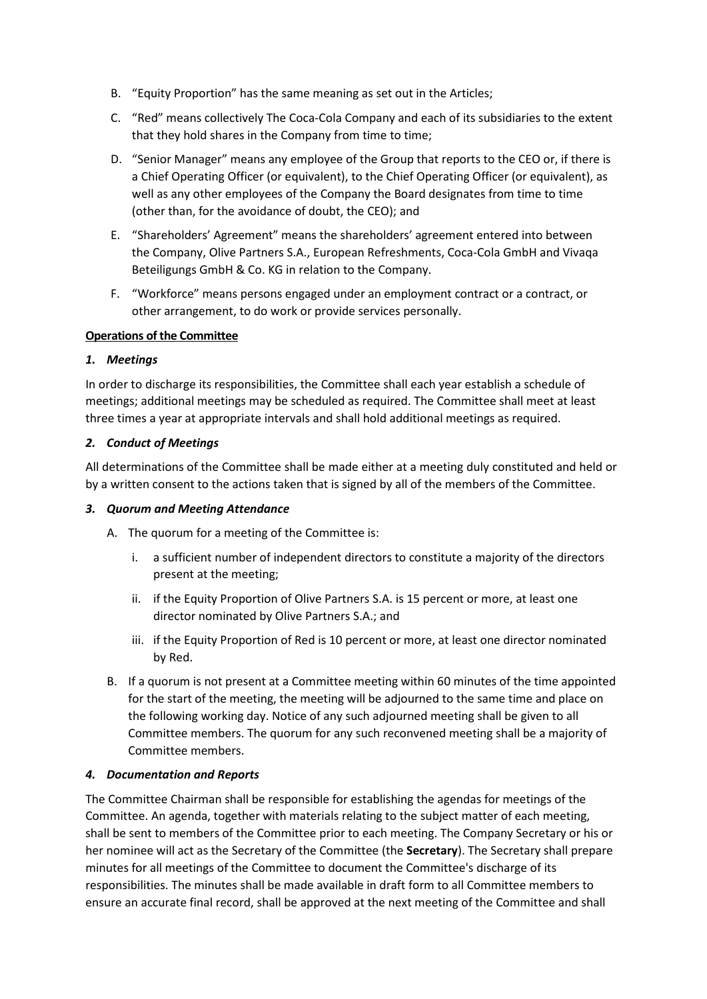- B. "Equity Proportion" has the same meaning as set out in the Articles;
- C. "Red" means collectively The Coca-Cola Company and each of its subsidiaries to the extent that they hold shares in the Company from time to time;
- D. "Senior Manager" means any employee of the Group that reports to the CEO or, if there is a Chief Operating Officer (or equivalent), to the Chief Operating Officer (or equivalent), as well as any other employees of the Company the Board designates from time to time (other than, for the avoidance of doubt, the CEO); and
- E. "Shareholders' Agreement" means the shareholders' agreement entered into between the Company, Olive Partners S.A., European Refreshments, Coca-Cola GmbH and Vivaqa Beteiligungs GmbH & Co. KG in relation to the Company.
- F. "Workforce" means persons engaged under an employment contract or a contract, or other arrangement, to do work or provide services personally.

#### **Operations of the Committee**

#### *1. Meetings*

In order to discharge its responsibilities, the Committee shall each year establish a schedule of meetings; additional meetings may be scheduled as required. The Committee shall meet at least three times a year at appropriate intervals and shall hold additional meetings as required.

#### *2. Conduct of Meetings*

All determinations of the Committee shall be made either at a meeting duly constituted and held or by a written consent to the actions taken that is signed by all of the members of the Committee.

#### *3. Quorum and Meeting Attendance*

- A. The quorum for a meeting of the Committee is:
	- i. a sufficient number of independent directors to constitute a majority of the directors present at the meeting;
	- ii. if the Equity Proportion of Olive Partners S.A. is 15 percent or more, at least one director nominated by Olive Partners S.A.; and
	- iii. if the Equity Proportion of Red is 10 percent or more, at least one director nominated by Red.
- B. If a quorum is not present at a Committee meeting within 60 minutes of the time appointed for the start of the meeting, the meeting will be adjourned to the same time and place on the following working day. Notice of any such adjourned meeting shall be given to all Committee members. The quorum for any such reconvened meeting shall be a majority of Committee members.

#### *4. Documentation and Reports*

The Committee Chairman shall be responsible for establishing the agendas for meetings of the Committee. An agenda, together with materials relating to the subject matter of each meeting, shall be sent to members of the Committee prior to each meeting. The Company Secretary or his or her nominee will act as the Secretary of the Committee (the **Secretary**). The Secretary shall prepare minutes for all meetings of the Committee to document the Committee's discharge of its responsibilities. The minutes shall be made available in draft form to all Committee members to ensure an accurate final record, shall be approved at the next meeting of the Committee and shall